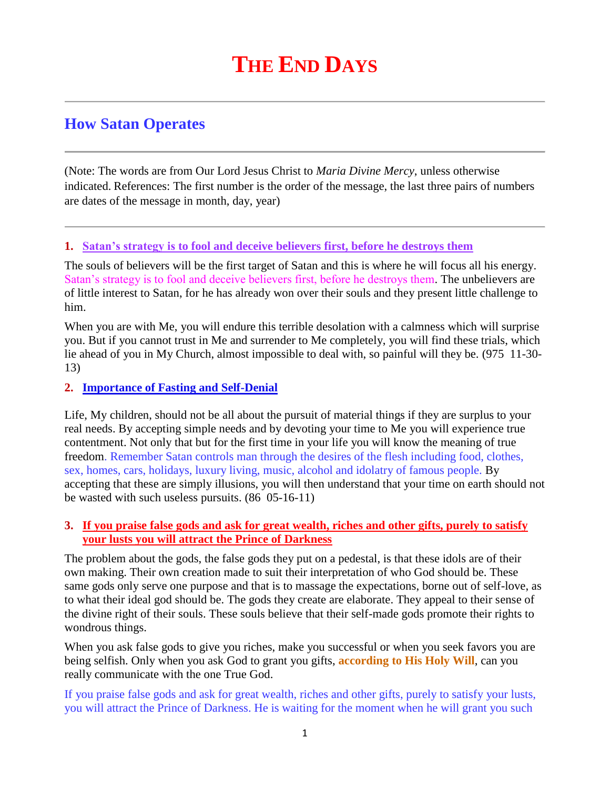# **How Satan Operates**

(Note: The words are from Our Lord Jesus Christ to *Maria Divine Mercy*, unless otherwise indicated. References: The first number is the order of the message, the last three pairs of numbers are dates of the message in month, day, year)

#### **1. [Satan's strategy is to fool and deceive believers first, before he destroys them](http://www.thewarningsecondcoming.com/satans-strategy-is-to-fool-and-deceive-believers-first-before-he-destroys-them/)**

The souls of believers will be the first target of Satan and this is where he will focus all his energy. Satan's strategy is to fool and deceive believers first, before he destroys them. The unbelievers are of little interest to Satan, for he has already won over their souls and they present little challenge to him.

When you are with Me, you will endure this terrible desolation with a calmness which will surprise you. But if you cannot trust in Me and surrender to Me completely, you will find these trials, which lie ahead of you in My Church, almost impossible to deal with, so painful will they be. (975 11-30- 13)

#### **2. [Importance of Fasting and Self-Denial](http://www.thewarningsecondcoming.com/importance-of-fasting-and-self-denial/)**

Life, My children, should not be all about the pursuit of material things if they are surplus to your real needs. By accepting simple needs and by devoting your time to Me you will experience true contentment. Not only that but for the first time in your life you will know the meaning of true freedom. Remember Satan controls man through the desires of the flesh including food, clothes, sex, homes, cars, holidays, luxury living, music, alcohol and idolatry of famous people. By accepting that these are simply illusions, you will then understand that your time on earth should not be wasted with such useless pursuits. (86 05-16-11)

## **3. [If you praise false gods and ask for great wealth, riches and other gifts, purely to satisfy](http://www.thewarningsecondcoming.com/if-you-praise-false-gods-and-ask-for-great-wealth-riches-and-other-gifts-purely-to-satisfy-your-lusts-you-will-attract-the-prince-of-darkness/)  [your lusts you will attract the Prince of Darkness](http://www.thewarningsecondcoming.com/if-you-praise-false-gods-and-ask-for-great-wealth-riches-and-other-gifts-purely-to-satisfy-your-lusts-you-will-attract-the-prince-of-darkness/)**

The problem about the gods, the false gods they put on a pedestal, is that these idols are of their own making. Their own creation made to suit their interpretation of who God should be. These same gods only serve one purpose and that is to massage the expectations, borne out of self-love, as to what their ideal god should be. The gods they create are elaborate. They appeal to their sense of the divine right of their souls. These souls believe that their self-made gods promote their rights to wondrous things.

When you ask false gods to give you riches, make you successful or when you seek favors you are being selfish. Only when you ask God to grant you gifts, **according to His Holy Will**, can you really communicate with the one True God.

If you praise false gods and ask for great wealth, riches and other gifts, purely to satisfy your lusts, you will attract the Prince of Darkness. He is waiting for the moment when he will grant you such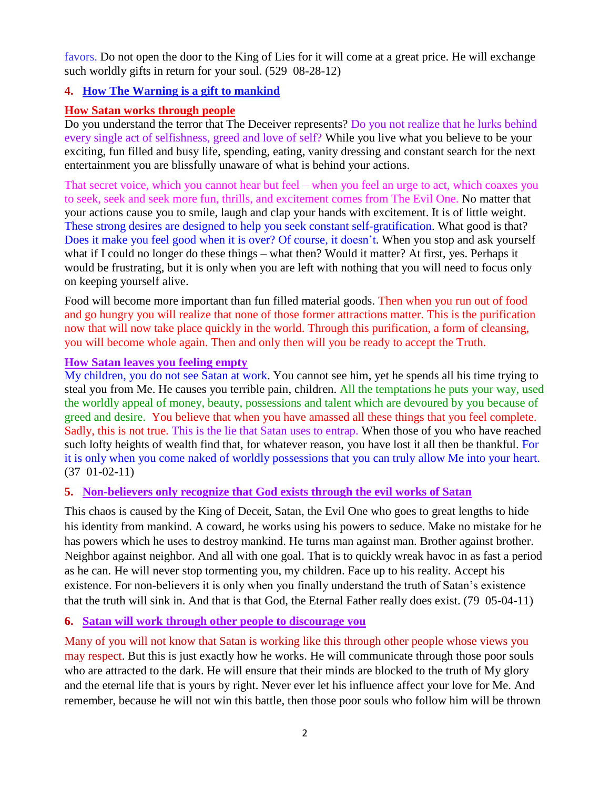favors. Do not open the door to the King of Lies for it will come at a great price. He will exchange such worldly gifts in return for your soul. (529 08-28-12)

# **4. [How The Warning is a gift to mankind](http://www.thewarningsecondcoming.com/how-the-warning-is-a-gift-to-mankind/)**

# **How Satan works through people**

Do you understand the terror that The Deceiver represents? Do you not realize that he lurks behind every single act of selfishness, greed and love of self? While you live what you believe to be your exciting, fun filled and busy life, spending, eating, vanity dressing and constant search for the next entertainment you are blissfully unaware of what is behind your actions.

That secret voice, which you cannot hear but feel – when you feel an urge to act, which coaxes you to seek, seek and seek more fun, thrills, and excitement comes from The Evil One. No matter that your actions cause you to smile, laugh and clap your hands with excitement. It is of little weight. These strong desires are designed to help you seek constant self-gratification. What good is that? Does it make you feel good when it is over? Of course, it doesn't. When you stop and ask yourself what if I could no longer do these things – what then? Would it matter? At first, yes. Perhaps it would be frustrating, but it is only when you are left with nothing that you will need to focus only on keeping yourself alive.

Food will become more important than fun filled material goods. Then when you run out of food and go hungry you will realize that none of those former attractions matter. This is the purification now that will now take place quickly in the world. Through this purification, a form of cleansing, you will become whole again. Then and only then will you be ready to accept the Truth.

#### **How Satan leaves you feeling empty**

My children, you do not see Satan at work. You cannot see him, yet he spends all his time trying to steal you from Me. He causes you terrible pain, children. All the temptations he puts your way, used the worldly appeal of money, beauty, possessions and talent which are devoured by you because of greed and desire. You believe that when you have amassed all these things that you feel complete. Sadly, this is not true. This is the lie that Satan uses to entrap. When those of you who have reached such lofty heights of wealth find that, for whatever reason, you have lost it all then be thankful. For it is only when you come naked of worldly possessions that you can truly allow Me into your heart. (37 01-02-11)

## **5. Non-believers only recognize that God exists through the evil works of Satan**

This chaos is caused by the King of Deceit, Satan, the Evil One who goes to great lengths to hide his identity from mankind. A coward, he works using his powers to seduce. Make no mistake for he has powers which he uses to destroy mankind. He turns man against man. Brother against brother. Neighbor against neighbor. And all with one goal. That is to quickly wreak havoc in as fast a period as he can. He will never stop tormenting you, my children. Face up to his reality. Accept his existence. For non-believers it is only when you finally understand the truth of Satan's existence that the truth will sink in. And that is that God, the Eternal Father really does exist. (79 05-04-11)

## **6. Satan will work through other people to discourage you**

Many of you will not know that Satan is working like this through other people whose views you may respect. But this is just exactly how he works. He will communicate through those poor souls who are attracted to the dark. He will ensure that their minds are blocked to the truth of My glory and the eternal life that is yours by right. Never ever let his influence affect your love for Me. And remember, because he will not win this battle, then those poor souls who follow him will be thrown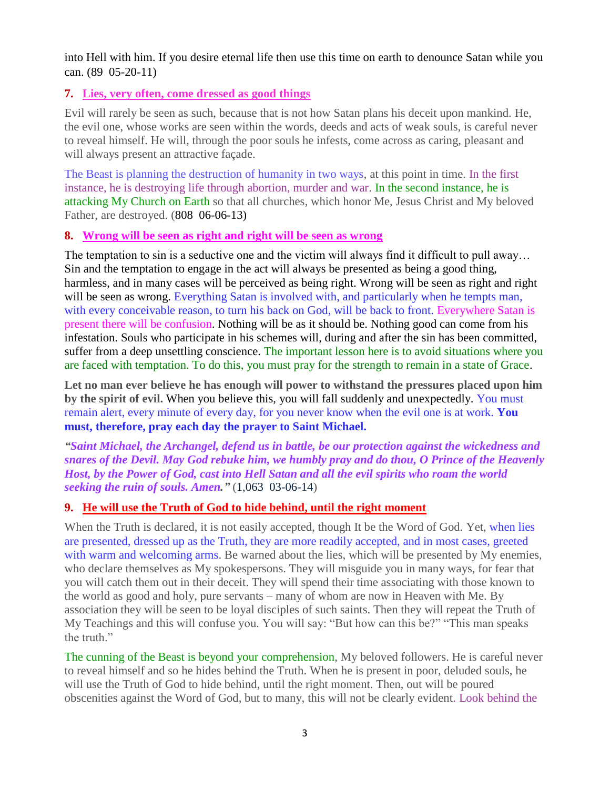into Hell with him. If you desire eternal life then use this time on earth to denounce Satan while you can. (89 05-20-11)

## **7. [Lies, very often, come dressed as good things](http://www.thewarningsecondcoming.com/lies-very-often-come-dressed-as-good-things/)**

Evil will rarely be seen as such, because that is not how Satan plans his deceit upon mankind. He, the evil one, whose works are seen within the words, deeds and acts of weak souls, is careful never to reveal himself. He will, through the poor souls he infests, come across as caring, pleasant and will always present an attractive façade.

The Beast is planning the destruction of humanity in two ways, at this point in time. In the first instance, he is destroying life through abortion, murder and war. In the second instance, he is attacking My Church on Earth so that all churches, which honor Me, Jesus Christ and My beloved Father, are destroyed. (808 06-06-13)

## **8. [Wrong will be seen as right and right will be seen as wrong](http://www.thewarningsecondcoming.com/wrong-will-be-seen-as-right-and-right-will-be-seen-as-wrong/)**

The temptation to sin is a seductive one and the victim will always find it difficult to pull away… Sin and the temptation to engage in the act will always be presented as being a good thing, harmless, and in many cases will be perceived as being right. Wrong will be seen as right and right will be seen as wrong. Everything Satan is involved with, and particularly when he tempts man, with every conceivable reason, to turn his back on God, will be back to front. Everywhere Satan is present there will be confusion. Nothing will be as it should be. Nothing good can come from his infestation. Souls who participate in his schemes will, during and after the sin has been committed, suffer from a deep unsettling conscience. The important lesson here is to avoid situations where you are faced with temptation. To do this, you must pray for the strength to remain in a state of Grace.

**Let no man ever believe he has enough will power to withstand the pressures placed upon him by the spirit of evil.** When you believe this, you will fall suddenly and unexpectedly. You must remain alert, every minute of every day, for you never know when the evil one is at work. **You must, therefore, pray each day the prayer to Saint Michael.**

*"Saint Michael, the Archangel, defend us in battle, be our protection against the wickedness and snares of the Devil. May God rebuke him, we humbly pray and do thou, O Prince of the Heavenly Host, by the Power of God, cast into Hell Satan and all the evil spirits who roam the world seeking the ruin of souls. Amen."* (1,063 03-06-14)

## **9. He will use the [Truth of God to hide behind, until the right moment](http://www.thewarningsecondcoming.com/he-will-use-the-truth-of-god-to-hide-behind-until-the-right-moment/)**

When the Truth is declared, it is not easily accepted, though It be the Word of God. Yet, when lies are presented, dressed up as the Truth, they are more readily accepted, and in most cases, greeted with warm and welcoming arms. Be warned about the lies, which will be presented by My enemies, who declare themselves as My spokespersons. They will misguide you in many ways, for fear that you will catch them out in their deceit. They will spend their time associating with those known to the world as good and holy, pure servants – many of whom are now in Heaven with Me. By association they will be seen to be loyal disciples of such saints. Then they will repeat the Truth of My Teachings and this will confuse you. You will say: "But how can this be?" "This man speaks the truth."

The cunning of the Beast is beyond your comprehension, My beloved followers. He is careful never to reveal himself and so he hides behind the Truth. When he is present in poor, deluded souls, he will use the Truth of God to hide behind, until the right moment. Then, out will be poured obscenities against the Word of God, but to many, this will not be clearly evident. Look behind the